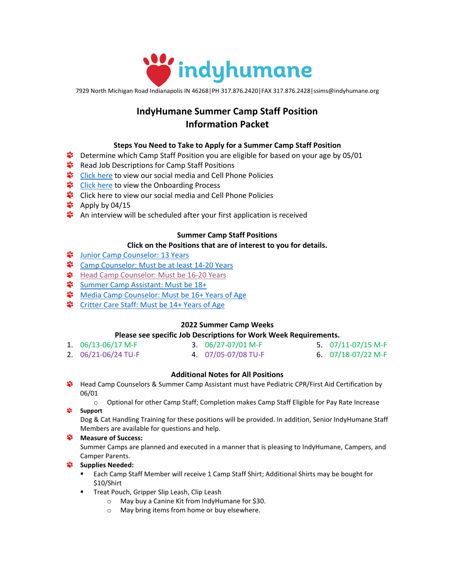

7929 North Michigan Road Indianapolis IN 46268|PH 317.876.2420|FAX 317.876.2428|ssims@indyhumane.org

# **IndyHumane Summer Camp Staff Position Information Packet**

## **Steps You Need to Take to Apply for a Summer Camp Staff Position**

- \*\* Determine which Camp Staff Position you are eligible for based on your age by 05/01
- **\*** Read Job Descriptions for Camp Staff Positions
- **\*** [Click here](#page-0-0) to view our social media and Cell Phone Policies
- State [Click here](#page-7-0) to view the Onboarding Process
- **\*** Click here to view our social media and Cell Phone Policies
- $\ddot{\ddot{\bullet}}$  Apply by 04/15
- **<sup>\*</sup>** An interview will be scheduled after your first application is received

#### **Summer Camp Staff Positions**

#### **Click on the Positions that are of interest to you for details.**

- **Way [Junior Camp Counselor:](#page-1-0) 13 Years**
- \* [Camp Counselor: Must be at least 14-20](#page-2-0) Years
- **\$** [Head Camp Counselor: Must be 16-20](#page-3-0) Years
- [Summer Camp Assistant: Must be 18+](#page-5-0)
- % [Media Camp Counselor: Must be 16+ Years of Age](#page-5-0)
- **\*** [Critter Care Staff: Must](#page-6-0) be 14+ Years of Age

## **2022 Summer Camp Weeks**

## **Please see specific Job Descriptions for Work Week Requirements.**

| 1. $06/13 - 06/17$ M-F  | 3. $06/27 - 07/01$ M-F | 5. $07/11 - 07/15$ M-F |
|-------------------------|------------------------|------------------------|
| 2. $06/21 - 06/24$ TU-F | 4. 07/05-07/08 TU-F    | 6. $07/18 - 07/22$ M-F |

## **Additional Notes for All Positions**

Head Camp Counselors & Summer Camp Assistant must have Pediatric CPR/First Aid Certification by 06/01

o Optional for other Camp Staff; Completion makes Camp Staff Eligible for Pay Rate Increase **Support** 

Dog & Cat Handling Training for these positions will be provided. In addition, Senior IndyHumane Staff Members are available for questions and help.

## **Measure of Success:**

Summer Camps are planned and executed in a manner that is pleasing to IndyHumane, Campers, and Camper Parents.

## *Supplies Needed:*

- Each Camp Staff Member will receive 1 Camp Staff Shirt; Additional Shirts may be bought for \$10/Shirt
- <span id="page-0-0"></span>**■** Treat Pouch, Gripper Slip Leash, Clip Leash
	- o May buy a Canine Kit from IndyHumane for \$30.
	- o May bring items from home or buy elsewhere.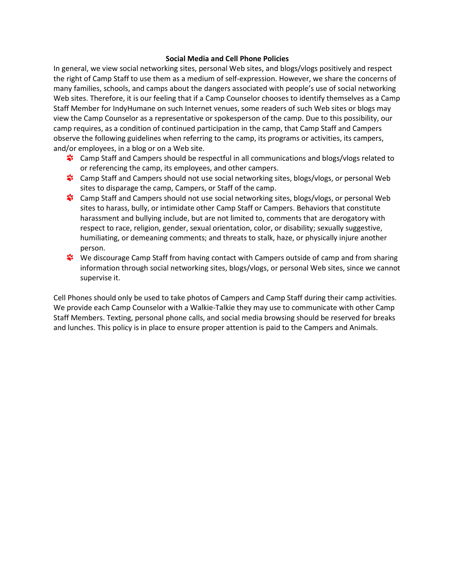#### **Social Media and Cell Phone Policies**

In general, we view social networking sites, personal Web sites, and blogs/vlogs positively and respect the right of Camp Staff to use them as a medium of self-expression. However, we share the concerns of many families, schools, and camps about the dangers associated with people's use of social networking Web sites. Therefore, it is our feeling that if a Camp Counselor chooses to identify themselves as a Camp Staff Member for IndyHumane on such Internet venues, some readers of such Web sites or blogs may view the Camp Counselor as a representative or spokesperson of the camp. Due to this possibility, our camp requires, as a condition of continued participation in the camp, that Camp Staff and Campers observe the following guidelines when referring to the camp, its programs or activities, its campers, and/or employees, in a blog or on a Web site.

- Camp Staff and Campers should be respectful in all communications and blogs/vlogs related to or referencing the camp, its employees, and other campers.
- Camp Staff and Campers should not use social networking sites, blogs/vlogs, or personal Web sites to disparage the camp, Campers, or Staff of the camp.
- \*\* Camp Staff and Campers should not use social networking sites, blogs/vlogs, or personal Web sites to harass, bully, or intimidate other Camp Staff or Campers. Behaviors that constitute harassment and bullying include, but are not limited to, comments that are derogatory with respect to race, religion, gender, sexual orientation, color, or disability; sexually suggestive, humiliating, or demeaning comments; and threats to stalk, haze, or physically injure another person.
- **\*\*** We discourage Camp Staff from having contact with Campers outside of camp and from sharing information through social networking sites, blogs/vlogs, or personal Web sites, since we cannot supervise it.

<span id="page-1-0"></span>Cell Phones should only be used to take photos of Campers and Camp Staff during their camp activities. We provide each Camp Counselor with a Walkie-Talkie they may use to communicate with other Camp Staff Members. Texting, personal phone calls, and social media browsing should be reserved for breaks and lunches. This policy is in place to ensure proper attention is paid to the Campers and Animals.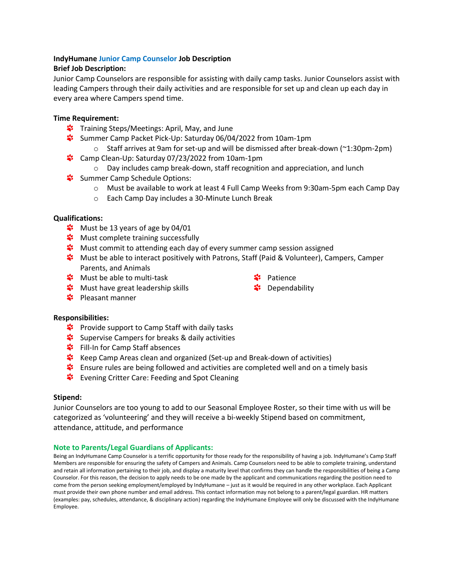## **IndyHumane Junior Camp Counselor Job Description**

## **Brief Job Description:**

Junior Camp Counselors are responsible for assisting with daily camp tasks. Junior Counselors assist with leading Campers through their daily activities and are responsible for set up and clean up each day in every area where Campers spend time.

## **Time Requirement:**

- **\*** Training Steps/Meetings: April, May, and June
- Summer Camp Packet Pick-Up: Saturday 06/04/2022 from 10am-1pm
	- $\circ$  Staff arrives at 9am for set-up and will be dismissed after break-down ( $\sim$ 1:30pm-2pm)
- \*\* Camp Clean-Up: Saturday 07/23/2022 from 10am-1pm
	- $\circ$  Day includes camp break-down, staff recognition and appreciation, and lunch
- Summer Camp Schedule Options:
	- o Must be available to work at least 4 Full Camp Weeks from 9:30am-5pm each Camp Day
	- o Each Camp Day includes a 30-Minute Lunch Break

#### **Qualifications:**

- $\ddot{\ddot{\bullet}}$  Must be 13 years of age by 04/01
- **W** Must complete training successfully
- \*\* Must commit to attending each day of every summer camp session assigned
- **\*** Must be able to interact positively with Patrons, Staff (Paid & Volunteer), Campers, Camper Parents, and Animals
- **\*** Must be able to multi-task
- Patience **\*** Dependability
- **\*** Must have great leadership skills
- **\*** Pleasant manner

#### **Responsibilities:**

- \*\* Provide support to Camp Staff with daily tasks
- Supervise Campers for breaks & daily activities
- **S** Fill-In for Camp Staff absences
- Keep Camp Areas clean and organized (Set-up and Break-down of activities)
- Ensure rules are being followed and activities are completed well and on a timely basis
- \*\* Evening Critter Care: Feeding and Spot Cleaning

#### **Stipend:**

Junior Counselors are too young to add to our Seasonal Employee Roster, so their time with us will be categorized as 'volunteering' and they will receive a bi-weekly Stipend based on commitment, attendance, attitude, and performance

#### **Note to Parents/Legal Guardians of Applicants:**

<span id="page-2-0"></span>Being an IndyHumane Camp Counselor is a terrific opportunity for those ready for the responsibility of having a job. IndyHumane's Camp Staff Members are responsible for ensuring the safety of Campers and Animals. Camp Counselors need to be able to complete training, understand and retain all information pertaining to their job, and display a maturity level that confirms they can handle the responsibilities of being a Camp Counselor. For this reason, the decision to apply needs to be one made by the applicant and communications regarding the position need to come from the person seeking employment/employed by IndyHumane – just as it would be required in any other workplace. Each Applicant must provide their own phone number and email address. This contact information may not belong to a parent/legal guardian. HR matters (examples: pay, schedules, attendance, & disciplinary action) regarding the IndyHumane Employee will only be discussed with the IndyHumane Employee.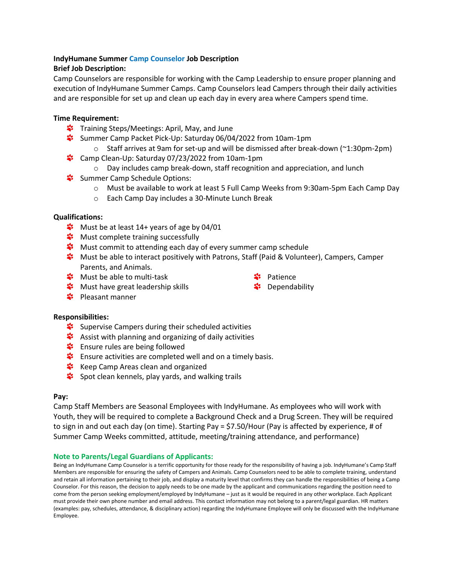## **IndyHumane Summer Camp Counselor Job Description**

## **Brief Job Description:**

Camp Counselors are responsible for working with the Camp Leadership to ensure proper planning and execution of IndyHumane Summer Camps. Camp Counselors lead Campers through their daily activities and are responsible for set up and clean up each day in every area where Campers spend time.

## **Time Requirement:**

- **\*** Training Steps/Meetings: April, May, and June
- Summer Camp Packet Pick-Up: Saturday 06/04/2022 from 10am-1pm
	- $\circ$  Staff arrives at 9am for set-up and will be dismissed after break-down ( $\sim$ 1:30pm-2pm)
- \*\* Camp Clean-Up: Saturday 07/23/2022 from 10am-1pm
	- $\circ$  Day includes camp break-down, staff recognition and appreciation, and lunch
- Summer Camp Schedule Options:
	- o Must be available to work at least 5 Full Camp Weeks from 9:30am-5pm Each Camp Day
	- o Each Camp Day includes a 30-Minute Lunch Break

## **Qualifications:**

- **W** Must be at least 14+ years of age by 04/01
- **\*** Must complete training successfully
- **\*** Must commit to attending each day of every summer camp schedule
- Must be able to interact positively with Patrons, Staff (Paid & Volunteer), Campers, Camper Parents, and Animals.
- **W** Must be able to multi-task

Patience

Dependability

- **Waship Share and Shares** Must have great leadership skills
- $\frac{4}{3}$  Pleasant manner

## **Responsibilities:**

- Supervise Campers during their scheduled activities
- **Assist with planning and organizing of daily activities**
- Ensure rules are being followed
- \*\* Ensure activities are completed well and on a timely basis.
- **Keep Camp Areas clean and organized**
- Spot clean kennels, play yards, and walking trails

## **Pay:**

Camp Staff Members are Seasonal Employees with IndyHumane. As employees who will work with Youth, they will be required to complete a Background Check and a Drug Screen. They will be required to sign in and out each day (on time). Starting Pay = \$7.50/Hour (Pay is affected by experience, # of Summer Camp Weeks committed, attitude, meeting/training attendance, and performance)

## **Note to Parents/Legal Guardians of Applicants:**

<span id="page-3-0"></span>Being an IndyHumane Camp Counselor is a terrific opportunity for those ready for the responsibility of having a job. IndyHumane's Camp Staff Members are responsible for ensuring the safety of Campers and Animals. Camp Counselors need to be able to complete training, understand and retain all information pertaining to their job, and display a maturity level that confirms they can handle the responsibilities of being a Camp Counselor. For this reason, the decision to apply needs to be one made by the applicant and communications regarding the position need to come from the person seeking employment/employed by IndyHumane – just as it would be required in any other workplace. Each Applicant must provide their own phone number and email address. This contact information may not belong to a parent/legal guardian. HR matters (examples: pay, schedules, attendance, & disciplinary action) regarding the IndyHumane Employee will only be discussed with the IndyHumane Employee.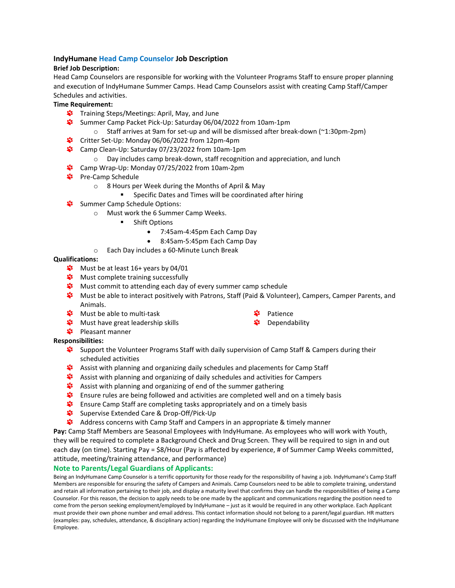#### **IndyHumane Head Camp Counselor Job Description**

#### **Brief Job Description:**

Head Camp Counselors are responsible for working with the Volunteer Programs Staff to ensure proper planning and execution of IndyHumane Summer Camps. Head Camp Counselors assist with creating Camp Staff/Camper Schedules and activities.

## **Time Requirement:**

- **\*** Training Steps/Meetings: April, May, and June
- Summer Camp Packet Pick-Up: Saturday 06/04/2022 from 10am-1pm
	- $\circ$  Staff arrives at 9am for set-up and will be dismissed after break-down (~1:30pm-2pm)
- Critter Set-Up: Monday 06/06/2022 from 12pm-4pm
- Camp Clean-Up: Saturday 07/23/2022 from 10am-1pm
	- $\circ$  Day includes camp break-down, staff recognition and appreciation, and lunch
- \* Camp Wrap-Up: Monday 07/25/2022 from 10am-2pm
- **\*** Pre-Camp Schedule
	- o 8 Hours per Week during the Months of April & May
		- Specific Dates and Times will be coordinated after hiring
- **Summer Camp Schedule Options:** 
	- o Must work the 6 Summer Camp Weeks.
		- Shift Options
			- 7:45am-4:45pm Each Camp Day
			- 8:45am-5:45pm Each Camp Day
	- o Each Day includes a 60-Minute Lunch Break

#### **Qualifications:**

- $\ddot{\ddot{\bullet}}$  Must be at least 16+ years by 04/01
- **\*** Must complete training successfully
- **W** Must commit to attending each day of every summer camp schedule
- Must be able to interact positively with Patrons, Staff (Paid & Volunteer), Campers, Camper Parents, and Animals.
- **\*** Must be able to multi-task
- **\*** Must have great leadership skills
- Patience
- **\*** Dependability

#### \* Pleasant manner **Responsibilities:**

- Support the Volunteer Programs Staff with daily supervision of Camp Staff & Campers during their scheduled activities
- Assist with planning and organizing daily schedules and placements for Camp Staff
- Assist with planning and organizing of daily schedules and activities for Campers
- Assist with planning and organizing of end of the summer gathering
- Ensure rules are being followed and activities are completed well and on a timely basis
- Ensure Camp Staff are completing tasks appropriately and on a timely basis
- Supervise Extended Care & Drop-Off/Pick-Up
- Address concerns with Camp Staff and Campers in an appropriate & timely manner

**Pay:** Camp Staff Members are Seasonal Employees with IndyHumane. As employees who will work with Youth, they will be required to complete a Background Check and Drug Screen. They will be required to sign in and out each day (on time). Starting Pay = \$8/Hour (Pay is affected by experience, # of Summer Camp Weeks committed, attitude, meeting/training attendance, and performance)

#### **Note to Parents/Legal Guardians of Applicants:**

Being an IndyHumane Camp Counselor is a terrific opportunity for those ready for the responsibility of having a job. IndyHumane's Camp Staff Members are responsible for ensuring the safety of Campers and Animals. Camp Counselors need to be able to complete training, understand and retain all information pertaining to their job, and display a maturity level that confirms they can handle the responsibilities of being a Camp Counselor. For this reason, the decision to apply needs to be one made by the applicant and communications regarding the position need to come from the person seeking employment/employed by IndyHumane – just as it would be required in any other workplace. Each Applicant must provide their own phone number and email address. This contact information should not belong to a parent/legal guardian. HR matters (examples: pay, schedules, attendance, & disciplinary action) regarding the IndyHumane Employee will only be discussed with the IndyHumane Employee.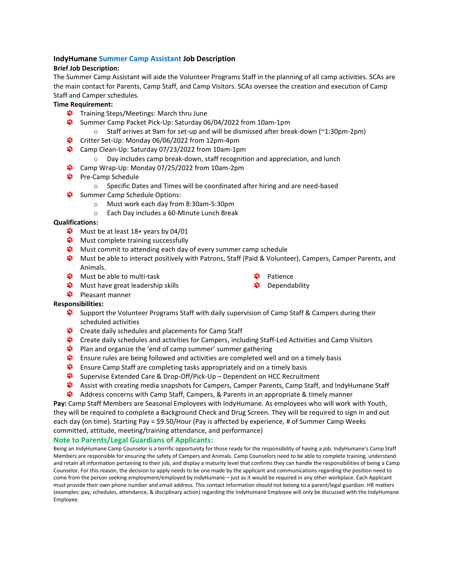#### <span id="page-5-0"></span>**IndyHumane Summer Camp Assistant Job Description**

#### **Brief Job Description:**

The Summer Camp Assistant will aide the Volunteer Programs Staff in the planning of all camp activities. SCAs are the main contact for Parents, Camp Staff, and Camp Visitors. SCAs oversee the creation and execution of Camp Staff and Camper schedules.

## **Time Requirement:**

- **\*** Training Steps/Meetings: March thru June
- Summer Camp Packet Pick-Up: Saturday 06/04/2022 from 10am-1pm
	- $\circ$  Staff arrives at 9am for set-up and will be dismissed after break-down ( $\sim$ 1:30pm-2pm)
- Critter Set-Up: Monday 06/06/2022 from 12pm-4pm
- Camp Clean-Up: Saturday 07/23/2022 from 10am-1pm
	- o Day includes camp break-down, staff recognition and appreciation, and lunch
- \* Camp Wrap-Up: Monday 07/25/2022 from 10am-2pm
- **\*** Pre-Camp Schedule
	- o Specific Dates and Times will be coordinated after hiring and are need-based
- Summer Camp Schedule Options:
	- o Must work each day from 8:30am-5:30pm
	- o Each Day includes a 60-Minute Lunch Break

#### **Qualifications:**

- $\ddot{\bullet}$  Must be at least 18+ years by 04/01
- **\*** Must complete training successfully
- \*\* Must commit to attending each day of every summer camp schedule
- Must be able to interact positively with Patrons, Staff (Paid & Volunteer), Campers, Camper Parents, and Animals.
- **\*** Must be able to multi-task

Patience

- **\*** Must have great leadership skills
- **\*** Pleasant manner

#### **Responsibilities:**

- Support the Volunteer Programs Staff with daily supervision of Camp Staff & Campers during their scheduled activities
- \*\* Create daily schedules and placements for Camp Staff
- Create daily schedules and activities for Campers, including Staff-Led Activities and Camp Visitors
- \*\* Plan and organize the 'end of camp summer' summer gathering
- Ensure rules are being followed and activities are completed well and on a timely basis
- Ensure Camp Staff are completing tasks appropriately and on a timely basis
- Supervise Extended Care & Drop-Off/Pick-Up Dependent on HCC Recruitment
- Assist with creating media snapshots for Campers, Camper Parents, Camp Staff, and IndyHumane Staff
- Address concerns with Camp Staff, Campers, & Parents in an appropriate & timely manner

**Pay:** Camp Staff Members are Seasonal Employees with IndyHumane. As employees who will work with Youth, they will be required to complete a Background Check and Drug Screen. They will be required to sign in and out each day (on time). Starting Pay = \$9.50/Hour (Pay is affected by experience, # of Summer Camp Weeks committed, attitude, meeting/training attendance, and performance)

#### **Note to Parents/Legal Guardians of Applicants:**

Being an IndyHumane Camp Counselor is a terrific opportunity for those ready for the responsibility of having a job. IndyHumane's Camp Staff Members are responsible for ensuring the safety of Campers and Animals. Camp Counselors need to be able to complete training, understand and retain all information pertaining to their job, and display a maturity level that confirms they can handle the responsibilities of being a Camp Counselor. For this reason, the decision to apply needs to be one made by the applicant and communications regarding the position need to come from the person seeking employment/employed by IndyHumane – just as it would be required in any other workplace. Each Applicant must provide their own phone number and email address. This contact information should not belong to a parent/legal guardian. HR matters (examples: pay, schedules, attendance, & disciplinary action) regarding the IndyHumane Employee will only be discussed with the IndyHumane Employee.

Dependability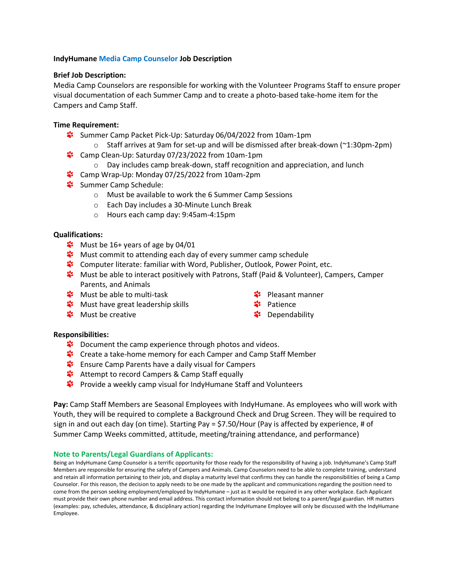## **IndyHumane Media Camp Counselor Job Description**

#### **Brief Job Description:**

Media Camp Counselors are responsible for working with the Volunteer Programs Staff to ensure proper visual documentation of each Summer Camp and to create a photo-based take-home item for the Campers and Camp Staff.

## **Time Requirement:**

- Summer Camp Packet Pick-Up: Saturday 06/04/2022 from 10am-1pm
	- $\circ$  Staff arrives at 9am for set-up and will be dismissed after break-down ( $\sim$ 1:30pm-2pm)
- \*\* Camp Clean-Up: Saturday 07/23/2022 from 10am-1pm
	- o Day includes camp break-down, staff recognition and appreciation, and lunch
- \*\* Camp Wrap-Up: Monday 07/25/2022 from 10am-2pm
- Summer Camp Schedule:
	- o Must be available to work the 6 Summer Camp Sessions
	- o Each Day includes a 30-Minute Lunch Break
	- o Hours each camp day: 9:45am-4:15pm

## **Qualifications:**

- $\frac{4}{3}$  Must be 16+ years of age by 04/01
- **W** Must commit to attending each day of every summer camp schedule
- \*\* Computer literate: familiar with Word, Publisher, Outlook, Power Point, etc.
- Must be able to interact positively with Patrons, Staff (Paid & Volunteer), Campers, Camper Parents, and Animals
- **\*** Must be able to multi-task
- **Waship Share and Shares** Must have great leadership skills
- **\*** Must be creative
- **<sup>₩</sup>** Pleasant manner
- **\*** Patience
- **\*** Dependability

## **Responsibilities:**

- \*\* Document the camp experience through photos and videos.
- S<sup>2</sup> Create a take-home memory for each Camper and Camp Staff Member
- **\*** Ensure Camp Parents have a daily visual for Campers
- **<sup>2</sup>** Attempt to record Campers & Camp Staff equally
- \*\* Provide a weekly camp visual for IndyHumane Staff and Volunteers

**Pay:** Camp Staff Members are Seasonal Employees with IndyHumane. As employees who will work with Youth, they will be required to complete a Background Check and Drug Screen. They will be required to sign in and out each day (on time). Starting Pay = \$7.50/Hour (Pay is affected by experience, # of Summer Camp Weeks committed, attitude, meeting/training attendance, and performance)

#### **Note to Parents/Legal Guardians of Applicants:**

<span id="page-6-0"></span>Being an IndyHumane Camp Counselor is a terrific opportunity for those ready for the responsibility of having a job. IndyHumane's Camp Staff Members are responsible for ensuring the safety of Campers and Animals. Camp Counselors need to be able to complete training, understand and retain all information pertaining to their job, and display a maturity level that confirms they can handle the responsibilities of being a Camp Counselor. For this reason, the decision to apply needs to be one made by the applicant and communications regarding the position need to come from the person seeking employment/employed by IndyHumane – just as it would be required in any other workplace. Each Applicant must provide their own phone number and email address. This contact information should not belong to a parent/legal guardian. HR matters (examples: pay, schedules, attendance, & disciplinary action) regarding the IndyHumane Employee will only be discussed with the IndyHumane Employee.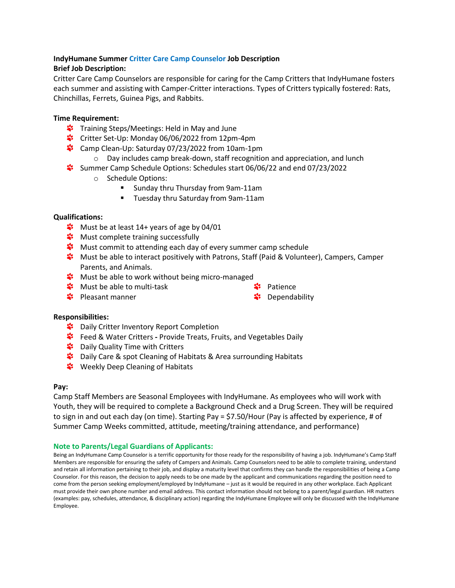# **IndyHumane Summer Critter Care Camp Counselor Job Description**

## **Brief Job Description:**

Critter Care Camp Counselors are responsible for caring for the Camp Critters that IndyHumane fosters each summer and assisting with Camper-Critter interactions. Types of Critters typically fostered: Rats, Chinchillas, Ferrets, Guinea Pigs, and Rabbits.

## **Time Requirement:**

- **\*** Training Steps/Meetings: Held in May and June
- Critter Set-Up: Monday 06/06/2022 from 12pm-4pm
- **\*** Camp Clean-Up: Saturday 07/23/2022 from 10am-1pm
	- $\circ$  Day includes camp break-down, staff recognition and appreciation, and lunch
- Summer Camp Schedule Options: Schedules start 06/06/22 and end 07/23/2022
	- o Schedule Options:
		- Sunday thru Thursday from 9am-11am
		- Tuesday thru Saturday from 9am-11am

## **Qualifications:**

- **W** Must be at least 14+ years of age by 04/01
- **\*** Must complete training successfully
- **\*** Must commit to attending each day of every summer camp schedule
- Must be able to interact positively with Patrons, Staff (Paid & Volunteer), Campers, Camper Parents, and Animals.
- **W** Must be able to work without being micro-managed
- **W** Must be able to multi-task
- **<sup>2</sup>** Pleasant manner
- Patience
- \*\* Dependability

## **Responsibilities:**

- **\*** Daily Critter Inventory Report Completion
- **\*** Feed & Water Critters Provide Treats, Fruits, and Vegetables Daily
- **S** Daily Quality Time with Critters
- \*\* Daily Care & spot Cleaning of Habitats & Area surrounding Habitats
- **Weekly Deep Cleaning of Habitats**

## **Pay:**

Camp Staff Members are Seasonal Employees with IndyHumane. As employees who will work with Youth, they will be required to complete a Background Check and a Drug Screen. They will be required to sign in and out each day (on time). Starting Pay = \$7.50/Hour (Pay is affected by experience, # of Summer Camp Weeks committed, attitude, meeting/training attendance, and performance)

## **Note to Parents/Legal Guardians of Applicants:**

<span id="page-7-0"></span>Being an IndyHumane Camp Counselor is a terrific opportunity for those ready for the responsibility of having a job. IndyHumane's Camp Staff Members are responsible for ensuring the safety of Campers and Animals. Camp Counselors need to be able to complete training, understand and retain all information pertaining to their job, and display a maturity level that confirms they can handle the responsibilities of being a Camp Counselor. For this reason, the decision to apply needs to be one made by the applicant and communications regarding the position need to come from the person seeking employment/employed by IndyHumane – just as it would be required in any other workplace. Each Applicant must provide their own phone number and email address. This contact information should not belong to a parent/legal guardian. HR matters (examples: pay, schedules, attendance, & disciplinary action) regarding the IndyHumane Employee will only be discussed with the IndyHumane Employee.